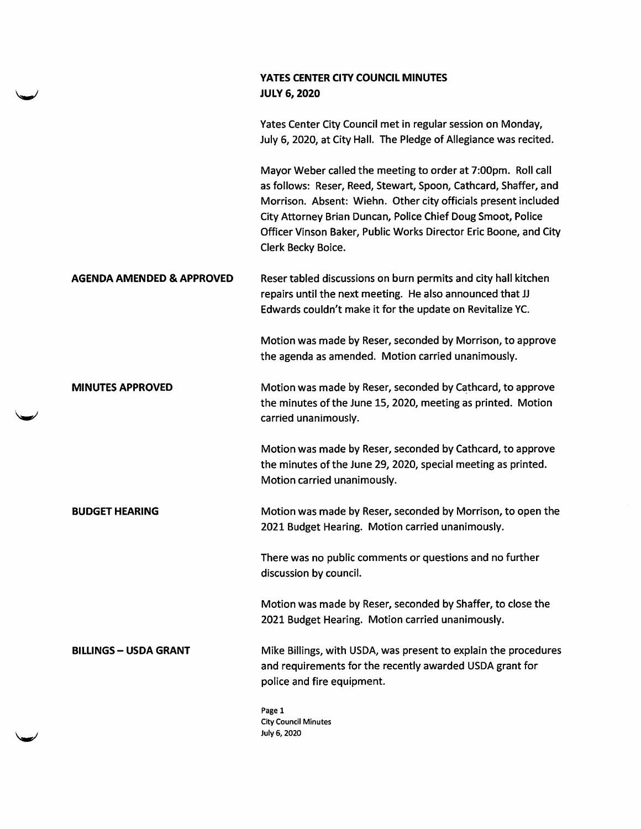## YATES CENTER CITY COUNCIL MINUTES JULY 6, 2020

Yates Center City Council met in regular session on Monday, July 6, 2020, at City Hall. The Pledge of Allegiance was recited.

Mayor Weber called the meeting to order at 7:00pm. Roll call as follows: Reser, Reed, Stewart, Spoon, Cathcard, Shaffer, and Morrison. Absent: Wiehn. Other city officials present included City Attorney Brian Duncan, Police Chief Doug Smoot, Police Officer Vinson Baker, Public Works Director Eric Boone, and City Clerk Becky Boice.

AGENDA AMENDED & APPROVED Reser tabled discussions on burn permits and city hall kitchen repairs until the next meeting. He also announced that JJ Edwards couldn't make it for the update on Revitalize VC.

> Motion was made by Reser, seconded by Morrison, to approve the agenda as amended. Motion carried unanimously.

MINUTES APPROVED Motion was made by Reser, seconded by Cathcard, to approve the minutes of the June 15, 2020, meeting as printed. Motion carried unanimously.

> Motion was made by Reser, seconded by Cathcard, to approve the minutes of the June 29, 2020, special meeting as printed. Motion carried unanimously.

BUDGET HEARING Motion was made by Reser, seconded by Morrison, to open the 2021 Budget Hearing. Motion carried unanimously.

> There was no public comments or questions and no further discussion by council.

Motion was made by Reser, seconded by Shaffer, to close the 2021 Budget Hearing. Motion carried unanimously.

BILLINGS - USDA GRANT Mike Billings, with USDA, was present to explain the procedures and requirements for the recently awarded USDA grant for police and fire equipment.

> Page 1 City Council Minutes July 6,2020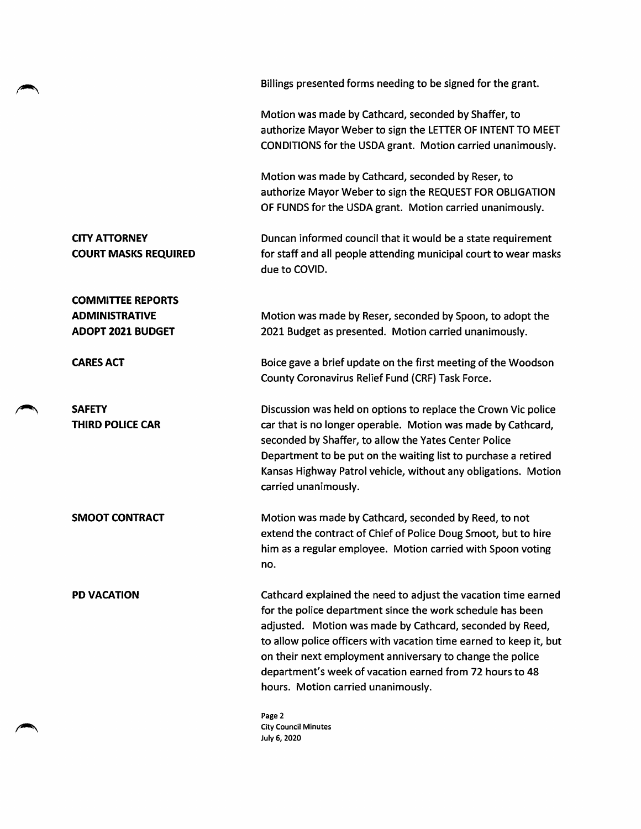Billings presented forms needing to be signed for the grant. Motion was made by Cathcard, seconded by Shaffer, to authorize Mayor Weber to sign the LETTER OF INTENT TO MEET CONDITIONS for the USDA grant. Motion carried unanimously. Motion was made by Cathcard, seconded by Reser, to authorize Mayor Weber to sign the REQUEST FOR OBLIGATION OF FUNDS for the USDA grant. Motion carried unanimously. CITY ATTORNEY COURT MASKS REQUIRED Duncan informed council that it would be a state requirement for staff and all people attending municipal court to wear masks due to COVID. COMMITTEE REPORTS ADMINISTRATIVE ADOPT 2021 BUDGET Motion was made by Reser, seconded by Spoon, to adopt the 2021 Budget as presented. Motion carried unanimously. **CARES ACT** Boice gave a brief update on the first meeting of the Woodson County Coronavirus Relief Fund (CRF) Task Force. **SAFETY** THIRD POLICE CAR Discussion was held on options to replace the Crown Vic police car that is no longer operable. Motion was made by Cathcard, seconded by Shaffer, to allow the Yates Center Police Department to be put on the waiting list to purchase a retired Kansas Highway Patrol vehicle, without any obligations. Motion carried unanimously. SMOOT CONTRACT Motion was made by Cathcard, seconded by Reed, to not extend the contract of Chief of Police Doug Smoot, but to hire him as a regular employee. Motion carried with Spoon voting no. PD VACATION Cathcard explained the need to adjust the vacation time earned for the police department since the work schedule has been adjusted. Motion was made by Cathcard, seconded by Reed, to allow police officers with vacation time earned to keep it, but on their next employment anniversary to change the police department's week of vacation earned from 72 hours to 48 hours. Motion carried unanimously. Page 2

City Council Minutes July 6, 2020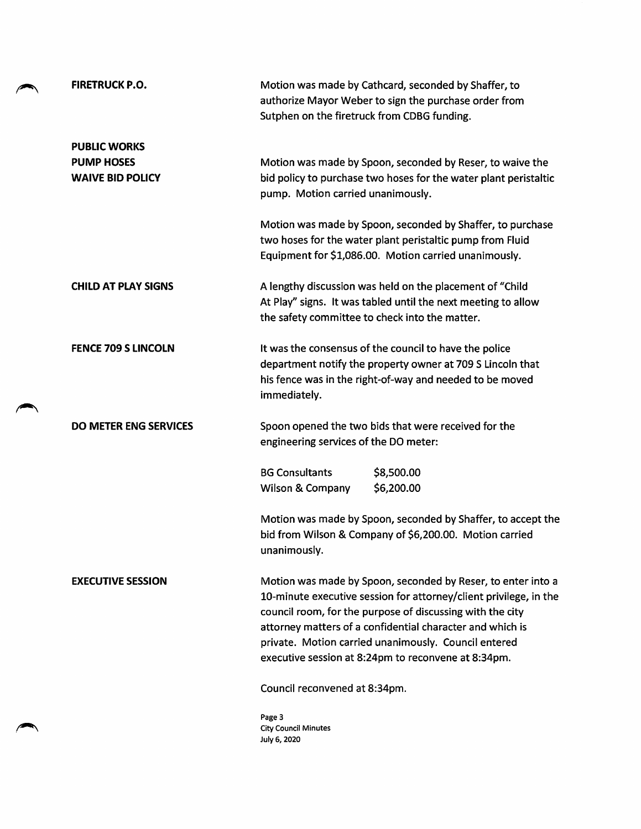| <b>FIRETRUCK P.O.</b>                                               | Motion was made by Cathcard, seconded by Shaffer, to<br>authorize Mayor Weber to sign the purchase order from<br>Sutphen on the firetruck from CDBG funding.                                                                                                                                                                                                               |
|---------------------------------------------------------------------|----------------------------------------------------------------------------------------------------------------------------------------------------------------------------------------------------------------------------------------------------------------------------------------------------------------------------------------------------------------------------|
| <b>PUBLIC WORKS</b><br><b>PUMP HOSES</b><br><b>WAIVE BID POLICY</b> | Motion was made by Spoon, seconded by Reser, to waive the<br>bid policy to purchase two hoses for the water plant peristaltic<br>pump. Motion carried unanimously.                                                                                                                                                                                                         |
|                                                                     | Motion was made by Spoon, seconded by Shaffer, to purchase<br>two hoses for the water plant peristaltic pump from Fluid<br>Equipment for \$1,086.00. Motion carried unanimously.                                                                                                                                                                                           |
| <b>CHILD AT PLAY SIGNS</b>                                          | A lengthy discussion was held on the placement of "Child<br>At Play" signs. It was tabled until the next meeting to allow<br>the safety committee to check into the matter.                                                                                                                                                                                                |
| <b>FENCE 709 S LINCOLN</b>                                          | It was the consensus of the council to have the police<br>department notify the property owner at 709 S Lincoln that<br>his fence was in the right-of-way and needed to be moved<br>immediately.                                                                                                                                                                           |
| <b>DO METER ENG SERVICES</b>                                        | Spoon opened the two bids that were received for the<br>engineering services of the DO meter:                                                                                                                                                                                                                                                                              |
|                                                                     | <b>BG Consultants</b><br>\$8,500.00<br>\$6,200.00<br><b>Wilson &amp; Company</b>                                                                                                                                                                                                                                                                                           |
|                                                                     | Motion was made by Spoon, seconded by Shaffer, to accept the<br>bid from Wilson & Company of \$6,200.00. Motion carried<br>unanimously.                                                                                                                                                                                                                                    |
| <b>EXECUTIVE SESSION</b>                                            | Motion was made by Spoon, seconded by Reser, to enter into a<br>10-minute executive session for attorney/client privilege, in the<br>council room, for the purpose of discussing with the city<br>attorney matters of a confidential character and which is<br>private. Motion carried unanimously. Council entered<br>executive session at 8:24pm to reconvene at 8:34pm. |
|                                                                     | Council reconvened at 8:34pm.                                                                                                                                                                                                                                                                                                                                              |
|                                                                     | Page 3<br><b>City Council Minutes</b><br>July 6, 2020                                                                                                                                                                                                                                                                                                                      |